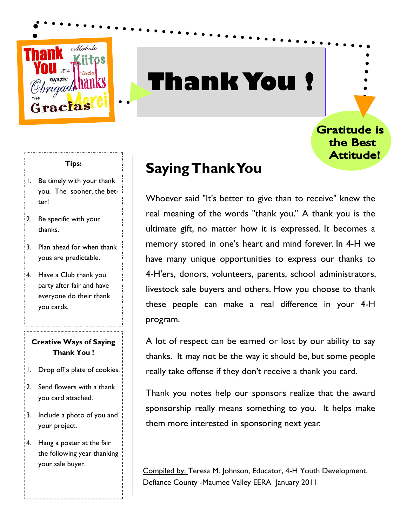

## **Thank You !**

Gratitude is the Best Attitude!

### **Tips:**

- 1. Be timely with your thank you. The sooner, the better!
- 2. Be specific with your thanks.
- 3. Plan ahead for when thank yous are predictable.
- 4. Have a Club thank you party after fair and have everyone do their thank you cards.

### **Creative Ways of Saying Thank You !**

- 1. Drop off a plate of cookies.
- 2. Send flowers with a thank you card attached.
- 3. Include a photo of you and your project.
- 4. Hang a poster at the fair the following year thanking your sale buyer.

### **Saying Thank You**

Whoever said "It's better to give than to receive" knew the real meaning of the words "thank you." A thank you is the ultimate gift, no matter how it is expressed. It becomes a memory stored in one's heart and mind forever. In 4-H we have many unique opportunities to express our thanks to 4-H'ers, donors, volunteers, parents, school administrators, livestock sale buyers and others. How you choose to thank these people can make a real difference in your 4-H program.

A lot of respect can be earned or lost by our ability to say thanks. It may not be the way it should be, but some people really take offense if they don't receive a thank you card.

Thank you notes help our sponsors realize that the award sponsorship really means something to you. It helps make them more interested in sponsoring next year.

Compiled by: Teresa M. Johnson, Educator, 4-H Youth Development. Defiance County -Maumee Valley EERA January 2011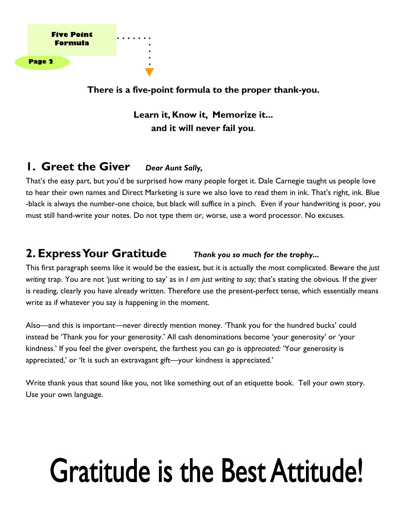

**There is a five-point formula to the proper thank-you.** 

**Learn it, Know it, Memorize it... and it will never fail you**.

### **1. Greet the Giver** *Dear Aunt Sally,*

That's the easy part, but you'd be surprised how many people forget it. Dale Carnegie taught us people love to hear their own names and Direct Marketing is sure we also love to read them in ink. That's right, ink. Blue -black is always the number-one choice, but black will suffice in a pinch. Even if your handwriting is poor, you must still hand-write your notes. Do not type them or, worse, use a word processor. No excuses.

### **2. Express Your Gratitude** *Thank you so much for the trophy...*

This first paragraph seems like it would be the easiest, but it is actually the most complicated. Beware the *just writing* trap. You are not 'just writing to say' as in *I am just writing to say;* that's stating the obvious*.* If the giver is reading, clearly you have already written. Therefore use the present-perfect tense, which essentially means write as if whatever you say is happening in the moment.

Also—and this is important—never directly mention money. 'Thank you for the hundred bucks' could instead be 'Thank you for your generosity.' All cash denominations become 'your generosity' or 'your kindness.' If you feel the giver overspent, the farthest you can go is *appreciated:* 'Your generosity is appreciated,' or 'It is such an extravagant gift—your kindness is appreciated.'

Write thank yous that sound like you, not like something out of an etiquette book. Tell your own story. Use your own language.

# **Gratitude is the Best Attitude!**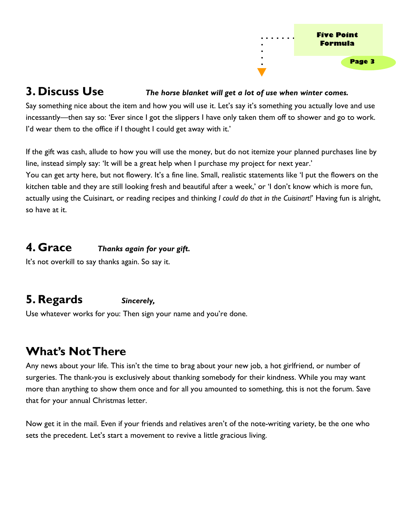

### **3. Discuss Use** *The horse blanket will get a lot of use when winter comes.*

Say something nice about the item and how you will use it. Let's say it's something you actually love and use incessantly—then say so: 'Ever since I got the slippers I have only taken them off to shower and go to work. I'd wear them to the office if I thought I could get away with it.'

If the gift was cash, allude to how you will use the money, but do not itemize your planned purchases line by line, instead simply say: 'It will be a great help when I purchase my project for next year.'

You can get arty here, but not flowery. It's a fine line. Small, realistic statements like 'I put the flowers on the kitchen table and they are still looking fresh and beautiful after a week,' or 'I don't know which is more fun, actually using the Cuisinart, or reading recipes and thinking *I could do that in the Cuisinart!*' Having fun is alright, so have at it.

### **4. Grace** *Thanks again for your gift.*

It's not overkill to say thanks again. So say it.

### **5. Regards** *Sincerely,*

Use whatever works for you: Then sign your name and you're done.

### **What's Not There**

Any news about your life. This isn't the time to brag about your new job, a hot girlfriend, or number of surgeries. The thank-you is exclusively about thanking somebody for their kindness. While you may want more than anything to show them once and for all you amounted to something, this is not the forum. Save that for your annual Christmas letter.

Now get it in the mail. Even if your friends and relatives aren't of the note-writing variety, be the one who sets the precedent. Let's start a movement to revive a little gracious living.